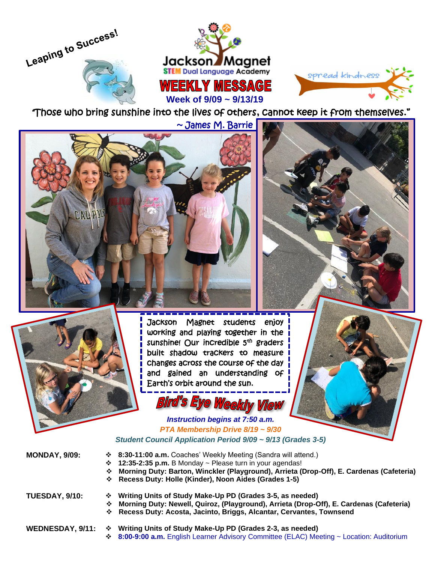



*"*Those who bring sunshine into the lives of others, cannot keep it from themselves."

~ James M. Barrie



Jackson Magnet students enjoy working and playing together in the sunshine! Our incredible 5<sup>th</sup> graders built shadow trackers to measure changes across the course of the day and gained an understanding of Earth's orbit around the sun.

## Bird's Eye Weekly View

*Instruction begins at 7:50 a.m. PTA Membership Drive 8/19 ~ 9/30 Student Council Application Period 9/09 ~ 9/13 (Grades 3-5)*

| <b>MONDAY, 9/09:</b>  | $\div$ 8:30-11:00 a.m. Coaches' Weekly Meeting (Sandra will attend.)<br>$\div$ 12:35-2:35 p.m. B Monday ~ Please turn in your agendas!<br>❖ Morning Duty: Barton, Winckler (Playground), Arrieta (Drop-Off), E. Cardenas (Cafeteria)<br>❖ Recess Duty: Holle (Kinder), Noon Aides (Grades 1-5) |
|-----------------------|------------------------------------------------------------------------------------------------------------------------------------------------------------------------------------------------------------------------------------------------------------------------------------------------|
| <b>TUESDAY, 9/10:</b> | ❖ Writing Units of Study Make-Up PD (Grades 3-5, as needed)<br>❖ Morning Duty: Newell, Quiroz, (Playground), Arrieta (Drop-Off), E. Cardenas (Cafeteria)<br>❖ Recess Duty: Acosta, Jacinto, Briggs, Alcantar, Cervantes, Townsend                                                              |
| WEDNESDAY, 9/11:      | Writing Units of Study Make-Up PD (Grades 2-3, as needed)<br>❖                                                                                                                                                                                                                                 |

❖ **8:00-9:00 a.m.** English Learner Advisory Committee (ELAC) Meeting ~ Location: Auditorium